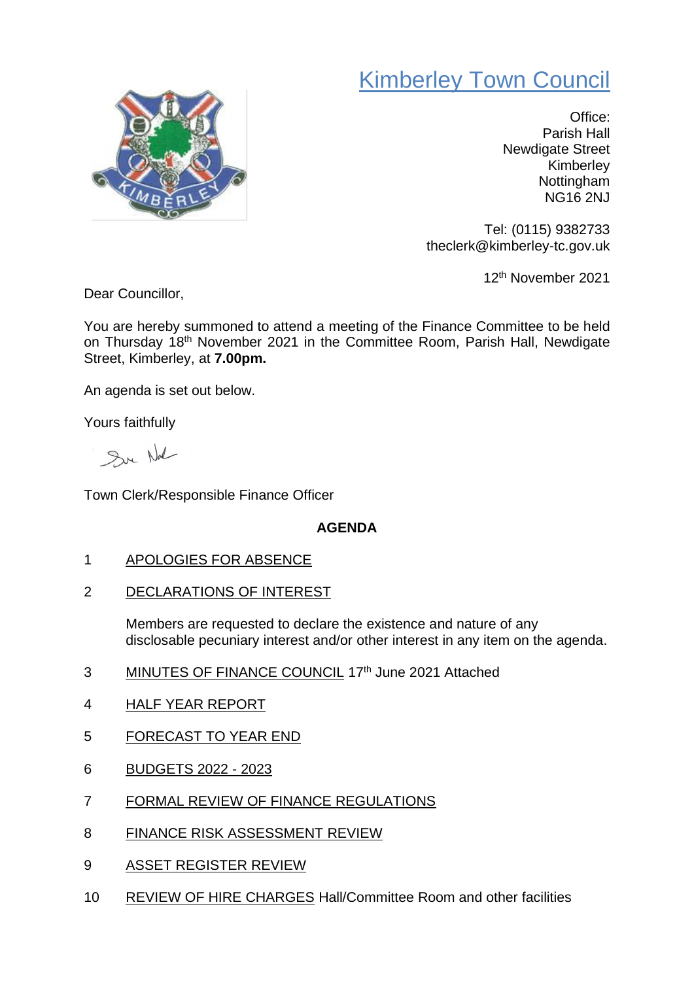## Kimberley Town Council



Office: Parish Hall Newdigate Street Kimberley Nottingham NG16 2NJ

Tel: (0115) 9382733 theclerk@kimberley-tc.gov.uk

12th November 2021

Dear Councillor,

You are hereby summoned to attend a meeting of the Finance Committee to be held on Thursday 18<sup>th</sup> November 2021 in the Committee Room, Parish Hall, Newdigate Street, Kimberley, at **7.00pm.**

An agenda is set out below.

Yours faithfully

Sur Not

Town Clerk/Responsible Finance Officer

## **AGENDA**

- 1 APOLOGIES FOR ABSENCE
- 2 DECLARATIONS OF INTEREST

Members are requested to declare the existence and nature of any disclosable pecuniary interest and/or other interest in any item on the agenda.

- 3 MINUTES OF FINANCE COUNCIL 17th June 2021 Attached
- 4 HALF YEAR REPORT
- 5 FORECAST TO YEAR END
- 6 BUDGETS 2022 2023
- 7 FORMAL REVIEW OF FINANCE REGULATIONS
- 8 FINANCE RISK ASSESSMENT REVIEW
- 9 ASSET REGISTER REVIEW
- 10 REVIEW OF HIRE CHARGES Hall/Committee Room and other facilities